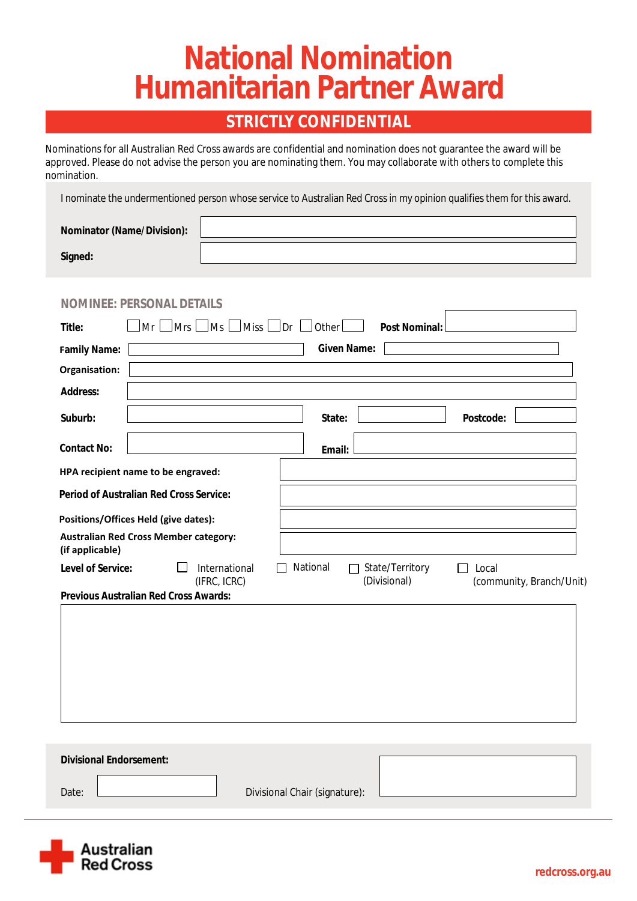# **National Nomination Humanitarian Partner Award**

### **STRICTLY CONFIDENTIAL**

Nominations for all Australian Red Cross awards are confidential and nomination does not guarantee the award will be approved. Please do not advise the person you are nominating them. You may collaborate with others to complete this nomination.

I nominate the undermentioned person whose service to Australian Red Cross in my opinion qualifies them for this award.

| <b>Nominator (Name/Division):</b> |  |
|-----------------------------------|--|
| <b>Signed:</b>                    |  |

|                          | $\Box$ Mrs $\Box$ Ms<br>Mr                     | $\lfloor$ Miss $\lfloor$ Dr $\lfloor$<br>Other | <b>Post Nominal:</b>                   |                                                   |
|--------------------------|------------------------------------------------|------------------------------------------------|----------------------------------------|---------------------------------------------------|
| <b>Family Name:</b>      |                                                | <b>Given Name:</b>                             |                                        |                                                   |
| Organisation:            |                                                |                                                |                                        |                                                   |
| <b>Address:</b>          |                                                |                                                |                                        |                                                   |
| Suburb:                  |                                                | State:                                         |                                        | <b>Postcode:</b>                                  |
| <b>Contact No:</b>       |                                                | <b>Email:</b>                                  |                                        |                                                   |
|                          | HPA recipient name to be engraved:             |                                                |                                        |                                                   |
|                          | <b>Period of Australian Red Cross Service:</b> |                                                |                                        |                                                   |
|                          | Positions/Offices Held (give dates):           |                                                |                                        |                                                   |
| (if applicable)          | <b>Australian Red Cross Member category:</b>   |                                                |                                        |                                                   |
| <b>Level of Service:</b> | <b>International</b><br>(IFRC, ICRC)           | <b>National</b>                                | <b>State/Territory</b><br>(Divisional) | Local<br>$\mathsf{L}$<br>(community, Branch/Unit) |
|                          | <b>Previous Australian Red Cross Awards:</b>   |                                                |                                        |                                                   |
|                          |                                                |                                                |                                        |                                                   |
|                          |                                                |                                                |                                        |                                                   |

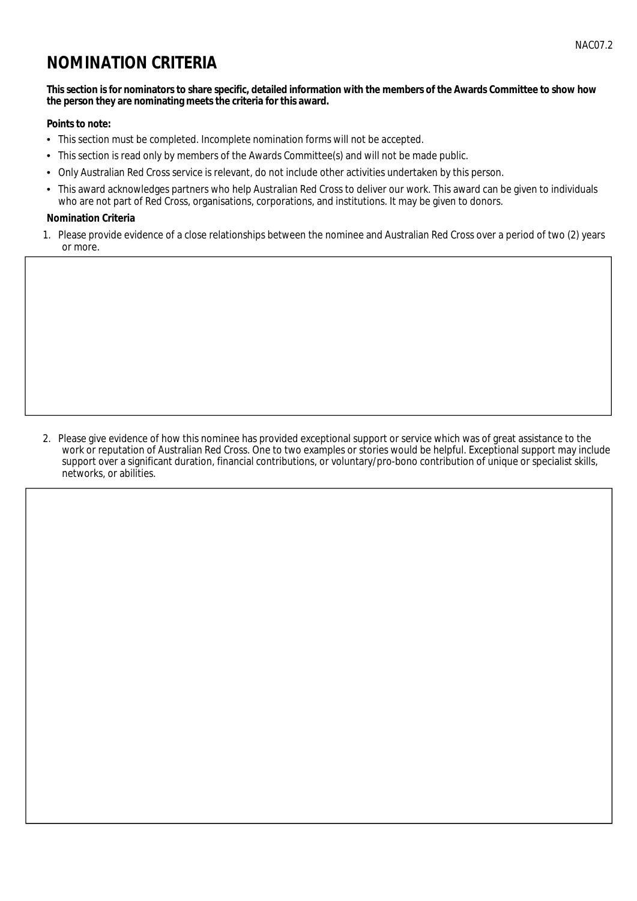## **NOMINATION CRITERIA**

#### This section is for nominators to share specific, detailed information with the members of the Awards Committee to show how the person they are nominating meets the criteria for this award.

#### **Points to note:**

- This section must be completed. Incomplete nomination forms will not be accepted.
- $\bullet$ This section is read only by members of the Awards Committee(s) and will not be made public.
- Only Australian Red Cross service is relevant, do not include other activities undertaken by this person.  $\bullet$
- $\bullet$ This award acknowledges partners who help Australian Red Cross to deliver our work. This award can be given to individuals who are not part of Red Cross, organisations, corporations, and institutions. It may be given to donors.

#### **Nomination Criteria**

1. Please provide evidence of a close relationships between the nominee and Australian Red Cross over a period of two (2) years or more.

2. Please give evidence of how this nominee has provided exceptional support or service which was of great assistance to the work or reputation of Australian Red Cross. One to two examples or stories would be helpful. Exceptional support may include support over a significant duration, financial contributions, or voluntary/pro-bono contribution of unique or specialist skills, networks, or abilities.